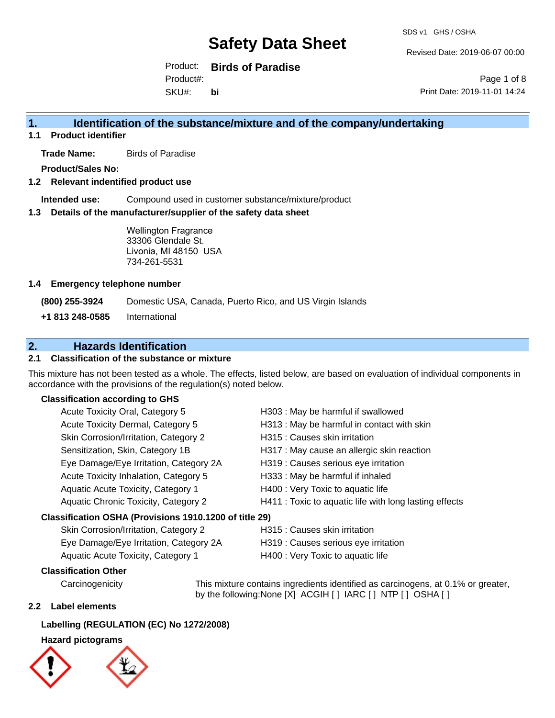Revised Date: 2019-06-07 00:00

Product: **Birds of Paradise** SKU#: Product#: **bi**

Page 1 of 8 Print Date: 2019-11-01 14:24

# **1. Identification of the substance/mixture and of the company/undertaking**

**1.1 Product identifier**

**Trade Name:** Birds of Paradise

**Product/Sales No:**

## **1.2 Relevant indentified product use**

**Intended use:** Compound used in customer substance/mixture/product

#### **1.3 Details of the manufacturer/supplier of the safety data sheet**

Wellington Fragrance 33306 Glendale St. Livonia, MI 48150 USA 734-261-5531

#### **1.4 Emergency telephone number**

**(800) 255-3924** Domestic USA, Canada, Puerto Rico, and US Virgin Islands

**+1 813 248-0585** International

# **2. Hazards Identification**

## **2.1 Classification of the substance or mixture**

This mixture has not been tested as a whole. The effects, listed below, are based on evaluation of individual components in accordance with the provisions of the regulation(s) noted below.

## **Classification according to GHS**

| Acute Toxicity Oral, Category 5                        | H303 : May be harmful if swallowed                     |
|--------------------------------------------------------|--------------------------------------------------------|
| Acute Toxicity Dermal, Category 5                      | H313 : May be harmful in contact with skin             |
| Skin Corrosion/Irritation, Category 2                  | H315 : Causes skin irritation                          |
| Sensitization, Skin, Category 1B                       | H317 : May cause an allergic skin reaction             |
| Eye Damage/Eye Irritation, Category 2A                 | H319 : Causes serious eye irritation                   |
| Acute Toxicity Inhalation, Category 5                  | H333: May be harmful if inhaled                        |
| Aquatic Acute Toxicity, Category 1                     | H400 : Very Toxic to aquatic life                      |
| Aquatic Chronic Toxicity, Category 2                   | H411 : Toxic to aquatic life with long lasting effects |
| Classification OSHA (Provisions 1910.1200 of title 29) |                                                        |
|                                                        |                                                        |

# Skin Corrosion/Irritation, Category 2 **H315** : Causes skin irritation

| Eye Damage/Eye Irritation, Category 2A | H319 : Causes serious eye irritation |
|----------------------------------------|--------------------------------------|
| Aquatic Acute Toxicity, Category 1     | H400 : Very Toxic to aquatic life    |

## **Classification Other**

Carcinogenicity This mixture contains ingredients identified as carcinogens, at 0.1% or greater, by the following:None [X] ACGIH [ ] IARC [ ] NTP [ ] OSHA [ ]

## **2.2 Label elements**

## **Labelling (REGULATION (EC) No 1272/2008)**

## **Hazard pictograms**

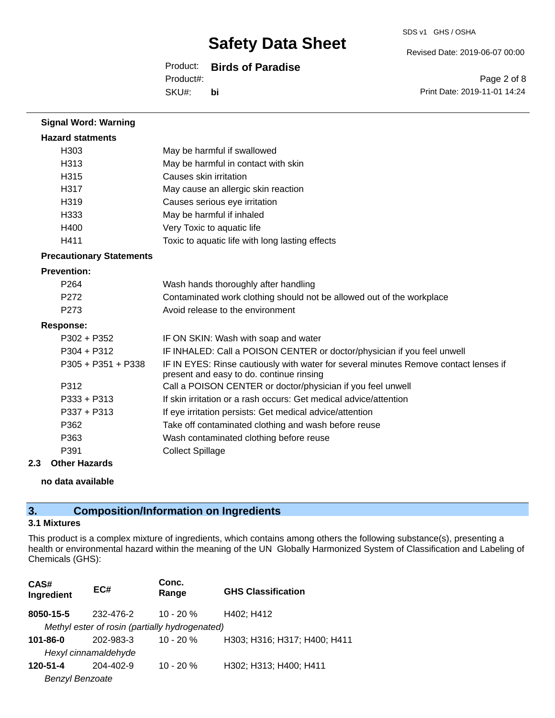## Product: **Birds of Paradise**

SKU#: Product#: **bi** Revised Date: 2019-06-07 00:00

SDS v1 GHS / OSHA

Page 2 of 8 Print Date: 2019-11-01 14:24

| <b>Signal Word: Warning</b>     |                                                                                                                                  |  |
|---------------------------------|----------------------------------------------------------------------------------------------------------------------------------|--|
| <b>Hazard statments</b>         |                                                                                                                                  |  |
| H <sub>303</sub>                | May be harmful if swallowed                                                                                                      |  |
| H313                            | May be harmful in contact with skin                                                                                              |  |
| H315                            | Causes skin irritation                                                                                                           |  |
| H317                            | May cause an allergic skin reaction                                                                                              |  |
| H319                            | Causes serious eye irritation                                                                                                    |  |
| H333                            | May be harmful if inhaled                                                                                                        |  |
| H400                            | Very Toxic to aquatic life                                                                                                       |  |
| H411                            | Toxic to aquatic life with long lasting effects                                                                                  |  |
| <b>Precautionary Statements</b> |                                                                                                                                  |  |
| <b>Prevention:</b>              |                                                                                                                                  |  |
| P <sub>264</sub>                | Wash hands thoroughly after handling                                                                                             |  |
| P272                            | Contaminated work clothing should not be allowed out of the workplace                                                            |  |
| P <sub>273</sub>                | Avoid release to the environment                                                                                                 |  |
| <b>Response:</b>                |                                                                                                                                  |  |
| $P302 + P352$                   | IF ON SKIN: Wash with soap and water                                                                                             |  |
| $P304 + P312$                   | IF INHALED: Call a POISON CENTER or doctor/physician if you feel unwell                                                          |  |
| $P305 + P351 + P338$            | IF IN EYES: Rinse cautiously with water for several minutes Remove contact lenses if<br>present and easy to do. continue rinsing |  |
| P312                            | Call a POISON CENTER or doctor/physician if you feel unwell                                                                      |  |
| $P333 + P313$                   | If skin irritation or a rash occurs: Get medical advice/attention                                                                |  |
| P337 + P313                     | If eye irritation persists: Get medical advice/attention                                                                         |  |
| P362                            | Take off contaminated clothing and wash before reuse                                                                             |  |
| P363                            | Wash contaminated clothing before reuse                                                                                          |  |
| P391                            | <b>Collect Spillage</b>                                                                                                          |  |

## **2.3 Other Hazards**

#### **no data available**

# **3. Composition/Information on Ingredients**

## **3.1 Mixtures**

This product is a complex mixture of ingredients, which contains among others the following substance(s), presenting a health or environmental hazard within the meaning of the UN Globally Harmonized System of Classification and Labeling of Chemicals (GHS):

| CAS#<br>Ingredient                             | EC#       | Conc.<br>Range | <b>GHS Classification</b>    |  |
|------------------------------------------------|-----------|----------------|------------------------------|--|
| 8050-15-5                                      | 232-476-2 | $10 - 20 \%$   | H402; H412                   |  |
| Methyl ester of rosin (partially hydrogenated) |           |                |                              |  |
| 101-86-0                                       | 202-983-3 | $10 - 20%$     | H303; H316; H317; H400; H411 |  |
| Hexyl cinnamaldehyde                           |           |                |                              |  |
| 120-51-4                                       | 204-402-9 | $10 - 20 %$    | H302; H313; H400; H411       |  |
| <b>Benzyl Benzoate</b>                         |           |                |                              |  |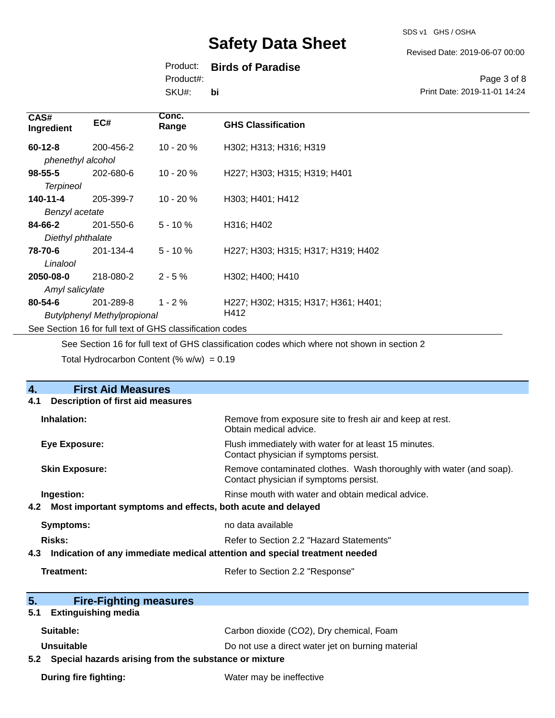Revised Date: 2019-06-07 00:00

# Product: **Birds of Paradise**

Product#:

SKU#: **bi**

## Page 3 of 8 Print Date: 2019-11-01 14:24

| CAS#<br>Ingredient                                       | EC#       | Conc.<br>Range | <b>GHS Classification</b>           |
|----------------------------------------------------------|-----------|----------------|-------------------------------------|
| $60 - 12 - 8$                                            | 200-456-2 | $10 - 20 \%$   | H302; H313; H316; H319              |
| phenethyl alcohol                                        |           |                |                                     |
| $98 - 55 - 5$                                            | 202-680-6 | $10 - 20%$     | H227; H303; H315; H319; H401        |
| <b>Terpineol</b>                                         |           |                |                                     |
| 140-11-4                                                 | 205-399-7 | $10 - 20 \%$   | H303; H401; H412                    |
| Benzyl acetate                                           |           |                |                                     |
| 84-66-2                                                  | 201-550-6 | $5 - 10 \%$    | H316; H402                          |
| Diethyl phthalate                                        |           |                |                                     |
| 78-70-6                                                  | 201-134-4 | $5 - 10%$      | H227; H303; H315; H317; H319; H402  |
| Linalool                                                 |           |                |                                     |
| 2050-08-0                                                | 218-080-2 | $2 - 5%$       | H302: H400: H410                    |
| Amyl salicylate                                          |           |                |                                     |
| $80 - 54 - 6$                                            | 201-289-8 | $1 - 2 \%$     | H227; H302; H315; H317; H361; H401; |
| Butylphenyl Methylpropional                              |           |                | H412                                |
| See Section 16 for full text of GHS classification codes |           |                |                                     |

See Section 16 for full text of GHS classification codes which where not shown in section 2

Total Hydrocarbon Content  $(\% w/w) = 0.19$ 

| $\overline{4}$ .<br><b>First Aid Measures</b>                                     |                                                                                                               |  |
|-----------------------------------------------------------------------------------|---------------------------------------------------------------------------------------------------------------|--|
| <b>Description of first aid measures</b><br>4.1                                   |                                                                                                               |  |
| Inhalation:                                                                       | Remove from exposure site to fresh air and keep at rest.<br>Obtain medical advice.                            |  |
| <b>Eye Exposure:</b>                                                              | Flush immediately with water for at least 15 minutes.<br>Contact physician if symptoms persist.               |  |
| <b>Skin Exposure:</b>                                                             | Remove contaminated clothes. Wash thoroughly with water (and soap).<br>Contact physician if symptoms persist. |  |
| Ingestion:                                                                        | Rinse mouth with water and obtain medical advice.                                                             |  |
| Most important symptoms and effects, both acute and delayed<br>4.2                |                                                                                                               |  |
| Symptoms:                                                                         | no data available                                                                                             |  |
| Risks:                                                                            | Refer to Section 2.2 "Hazard Statements"                                                                      |  |
| Indication of any immediate medical attention and special treatment needed<br>4.3 |                                                                                                               |  |
| Treatment:                                                                        | Refer to Section 2.2 "Response"                                                                               |  |
|                                                                                   |                                                                                                               |  |
| 5.<br><b>Fire-Fighting measures</b><br><b>Extinguishing media</b><br>5.1          |                                                                                                               |  |
|                                                                                   |                                                                                                               |  |
| Suitable:                                                                         | Carbon dioxide (CO2), Dry chemical, Foam                                                                      |  |
| Unsuitable                                                                        | Do not use a direct water jet on burning material                                                             |  |
| 5.2 Special hazards arising from the substance or mixture                         |                                                                                                               |  |
| <b>During fire fighting:</b>                                                      | Water may be ineffective                                                                                      |  |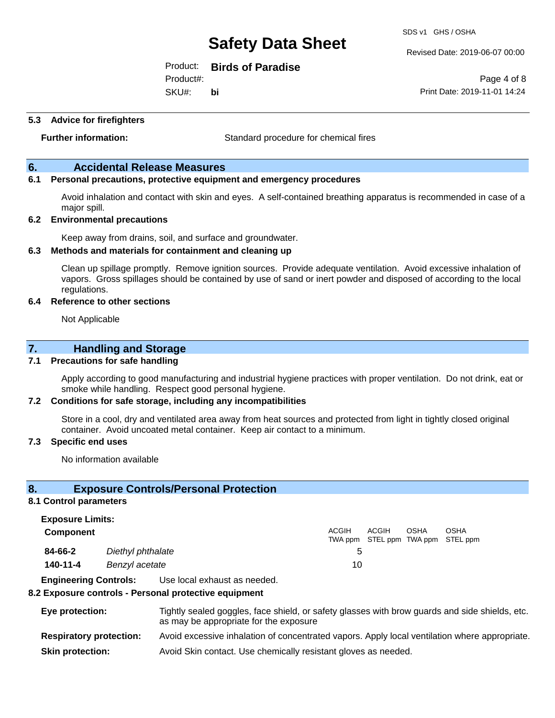Product: **Birds of Paradise**

SKU#: Product#: **bi** SDS v1 GHS / OSHA

Revised Date: 2019-06-07 00:00

Page 4 of 8 Print Date: 2019-11-01 14:24

**5.3 Advice for firefighters**

**Further information:** Standard procedure for chemical fires

## **6. Accidental Release Measures**

## **6.1 Personal precautions, protective equipment and emergency procedures**

Avoid inhalation and contact with skin and eyes. A self-contained breathing apparatus is recommended in case of a major spill.

#### **6.2 Environmental precautions**

Keep away from drains, soil, and surface and groundwater.

#### **6.3 Methods and materials for containment and cleaning up**

Clean up spillage promptly. Remove ignition sources. Provide adequate ventilation. Avoid excessive inhalation of vapors. Gross spillages should be contained by use of sand or inert powder and disposed of according to the local regulations.

#### **6.4 Reference to other sections**

Not Applicable

## **7. Handling and Storage**

#### **7.1 Precautions for safe handling**

Apply according to good manufacturing and industrial hygiene practices with proper ventilation. Do not drink, eat or smoke while handling. Respect good personal hygiene.

#### **7.2 Conditions for safe storage, including any incompatibilities**

Store in a cool, dry and ventilated area away from heat sources and protected from light in tightly closed original container. Avoid uncoated metal container. Keep air contact to a minimum.

#### **7.3 Specific end uses**

No information available

## **8. Exposure Controls/Personal Protection**

#### **8.1 Control parameters**

**Exposure Limits: Component** ACGIH TWA ppm STEL ppm TWA ppm STEL ppm ACGIH OSHA OSHA **84-66-2** *Diethyl phthalate* 5 **140-11-4** *Benzyl acetate* 10

**Engineering Controls:** Use local exhaust as needed.

#### **8.2 Exposure controls - Personal protective equipment**

| Eye protection:                | Tightly sealed goggles, face shield, or safety glasses with brow guards and side shields, etc.<br>as may be appropriate for the exposure |
|--------------------------------|------------------------------------------------------------------------------------------------------------------------------------------|
| <b>Respiratory protection:</b> | Avoid excessive inhalation of concentrated vapors. Apply local ventilation where appropriate.                                            |
| <b>Skin protection:</b>        | Avoid Skin contact. Use chemically resistant gloves as needed.                                                                           |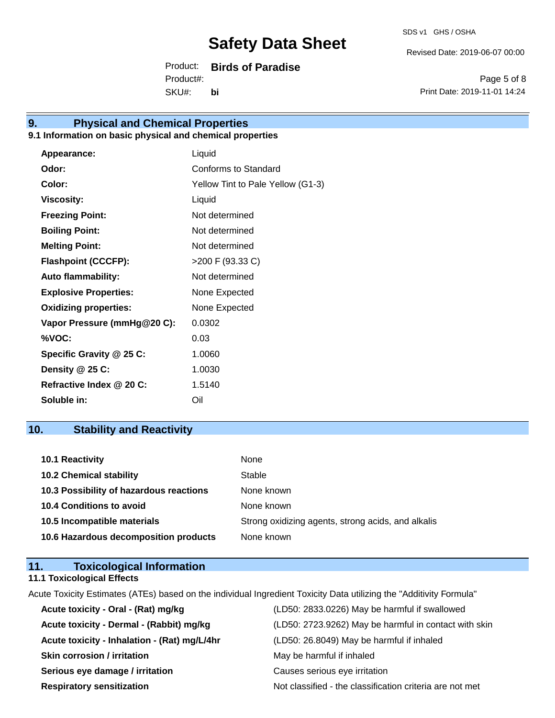Revised Date: 2019-06-07 00:00

Product: **Birds of Paradise** SKU#: Product#: **bi**

Page 5 of 8 Print Date: 2019-11-01 14:24

# **9. Physical and Chemical Properties**

# **9.1 Information on basic physical and chemical properties**

| Appearance:                  | Liquid                            |
|------------------------------|-----------------------------------|
| Odor:                        | Conforms to Standard              |
| Color:                       | Yellow Tint to Pale Yellow (G1-3) |
| <b>Viscosity:</b>            | Liquid                            |
| <b>Freezing Point:</b>       | Not determined                    |
| <b>Boiling Point:</b>        | Not determined                    |
| <b>Melting Point:</b>        | Not determined                    |
| <b>Flashpoint (CCCFP):</b>   | >200 F (93.33 C)                  |
| <b>Auto flammability:</b>    | Not determined                    |
| <b>Explosive Properties:</b> | None Expected                     |
| <b>Oxidizing properties:</b> | None Expected                     |
| Vapor Pressure (mmHg@20 C):  | 0.0302                            |
| %VOC:                        | 0.03                              |
| Specific Gravity @ 25 C:     | 1.0060                            |
| Density @ 25 C:              | 1.0030                            |
| Refractive Index @ 20 C:     | 1.5140                            |
| Soluble in:                  | Oil                               |

# **10. Stability and Reactivity**

| 10.1 Reactivity                         | None                                               |
|-----------------------------------------|----------------------------------------------------|
| <b>10.2 Chemical stability</b>          | Stable                                             |
| 10.3 Possibility of hazardous reactions | None known                                         |
| <b>10.4 Conditions to avoid</b>         | None known                                         |
| 10.5 Incompatible materials             | Strong oxidizing agents, strong acids, and alkalis |
| 10.6 Hazardous decomposition products   | None known                                         |

| 11. | <b>Toxicological Information</b>  |  |
|-----|-----------------------------------|--|
|     | <b>11.1 Toxicological Effects</b> |  |

Acute Toxicity Estimates (ATEs) based on the individual Ingredient Toxicity Data utilizing the "Additivity Formula"

| Acute toxicity - Oral - (Rat) mg/kg          | (LD50: 2833.0226) May be harmful if swallowed            |
|----------------------------------------------|----------------------------------------------------------|
| Acute toxicity - Dermal - (Rabbit) mg/kg     | (LD50: 2723.9262) May be harmful in contact with skin    |
| Acute toxicity - Inhalation - (Rat) mg/L/4hr | (LD50: 26.8049) May be harmful if inhaled                |
| <b>Skin corrosion / irritation</b>           | May be harmful if inhaled                                |
| Serious eye damage / irritation              | Causes serious eye irritation                            |
| <b>Respiratory sensitization</b>             | Not classified - the classification criteria are not met |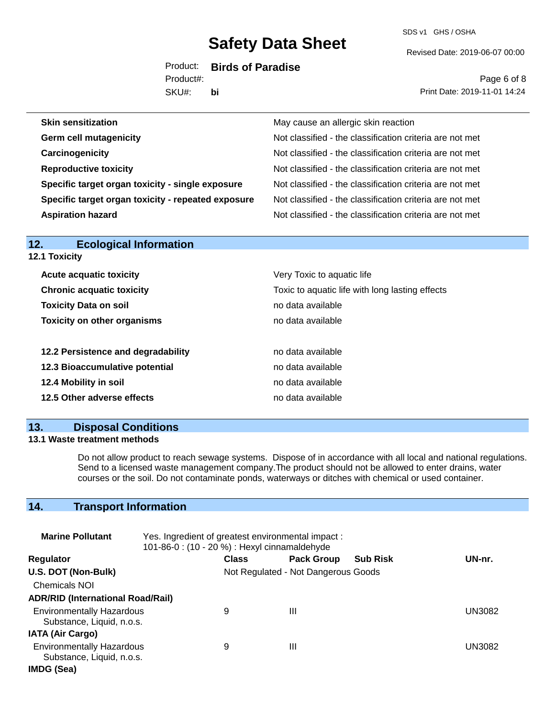SDS v1 GHS / OSHA

Revised Date: 2019-06-07 00:00

Product: **Birds of Paradise** Product#:

SKU#: **bi**

Page 6 of 8 Print Date: 2019-11-01 14:24

| <b>Skin sensitization</b>                          | May cause an allergic skin reaction                      |
|----------------------------------------------------|----------------------------------------------------------|
| <b>Germ cell mutagenicity</b>                      | Not classified - the classification criteria are not met |
| Carcinogenicity                                    | Not classified - the classification criteria are not met |
| <b>Reproductive toxicity</b>                       | Not classified - the classification criteria are not met |
| Specific target organ toxicity - single exposure   | Not classified - the classification criteria are not met |
| Specific target organ toxicity - repeated exposure | Not classified - the classification criteria are not met |
| <b>Aspiration hazard</b>                           | Not classified - the classification criteria are not met |
|                                                    |                                                          |

| 12.<br><b>Ecological Information</b> |                                                 |  |  |  |  |  |
|--------------------------------------|-------------------------------------------------|--|--|--|--|--|
| <b>12.1 Toxicity</b>                 |                                                 |  |  |  |  |  |
| <b>Acute acquatic toxicity</b>       | Very Toxic to aquatic life                      |  |  |  |  |  |
| <b>Chronic acquatic toxicity</b>     | Toxic to aquatic life with long lasting effects |  |  |  |  |  |
| <b>Toxicity Data on soil</b>         | no data available                               |  |  |  |  |  |
| <b>Toxicity on other organisms</b>   | no data available                               |  |  |  |  |  |
| 12.2 Persistence and degradability   | no data available                               |  |  |  |  |  |
| 12.3 Bioaccumulative potential       | no data available                               |  |  |  |  |  |
| 12.4 Mobility in soil                | no data available                               |  |  |  |  |  |
| 12.5 Other adverse effects           | no data available                               |  |  |  |  |  |
|                                      |                                                 |  |  |  |  |  |

# **13. Disposal Conditions**

## **13.1 Waste treatment methods**

Do not allow product to reach sewage systems. Dispose of in accordance with all local and national regulations. Send to a licensed waste management company.The product should not be allowed to enter drains, water courses or the soil. Do not contaminate ponds, waterways or ditches with chemical or used container.

# **14. Transport Information**

| <b>Marine Pollutant</b>                                       | Yes. Ingredient of greatest environmental impact:<br>101-86-0: (10 - 20 %) : Hexyl cinnamaldehyde |              |                                     |                 |               |
|---------------------------------------------------------------|---------------------------------------------------------------------------------------------------|--------------|-------------------------------------|-----------------|---------------|
| <b>Regulator</b>                                              |                                                                                                   | <b>Class</b> | <b>Pack Group</b>                   | <b>Sub Risk</b> | UN-nr.        |
| U.S. DOT (Non-Bulk)                                           |                                                                                                   |              | Not Regulated - Not Dangerous Goods |                 |               |
| <b>Chemicals NOI</b>                                          |                                                                                                   |              |                                     |                 |               |
| <b>ADR/RID (International Road/Rail)</b>                      |                                                                                                   |              |                                     |                 |               |
| <b>Environmentally Hazardous</b><br>Substance, Liquid, n.o.s. |                                                                                                   | 9            | Ш                                   |                 | UN3082        |
| <b>IATA (Air Cargo)</b>                                       |                                                                                                   |              |                                     |                 |               |
| <b>Environmentally Hazardous</b><br>Substance, Liquid, n.o.s. |                                                                                                   | 9            | Ш                                   |                 | <b>UN3082</b> |
| IMDG (Sea)                                                    |                                                                                                   |              |                                     |                 |               |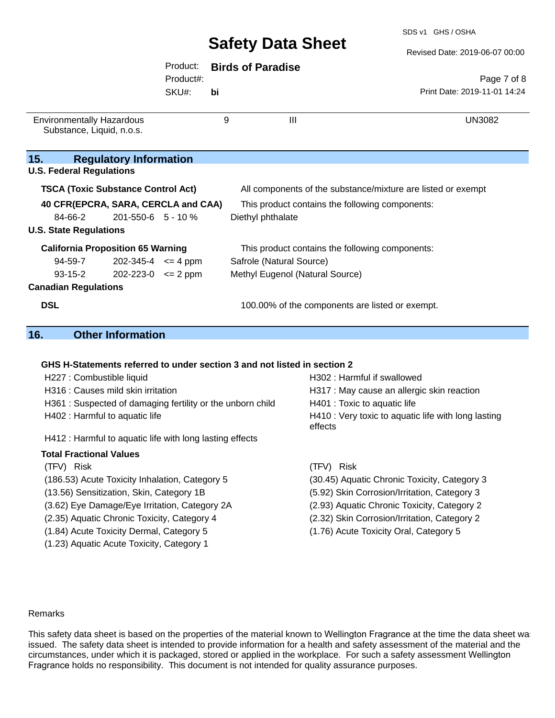#### Revised Date: 2019-06-07 00:00

|                                                               |                               | Product:  |    | <b>Birds of Paradise</b>                                     |  |
|---------------------------------------------------------------|-------------------------------|-----------|----|--------------------------------------------------------------|--|
|                                                               |                               | Product#: |    | Page 7 of 8                                                  |  |
|                                                               |                               | SKU#:     | bi | Print Date: 2019-11-01 14:24                                 |  |
| <b>Environmentally Hazardous</b><br>Substance, Liquid, n.o.s. |                               |           | 9  | $\mathbf{III}$<br><b>UN3082</b>                              |  |
| 15.                                                           | <b>Regulatory Information</b> |           |    |                                                              |  |
| <b>U.S. Federal Regulations</b>                               |                               |           |    |                                                              |  |
| <b>TSCA (Toxic Substance Control Act)</b>                     |                               |           |    | All components of the substance/mixture are listed or exempt |  |
| 40 CFR(EPCRA, SARA, CERCLA and CAA)                           |                               |           |    | This product contains the following components:              |  |
| 84-66-2                                                       | $201 - 550 - 6$ 5 - 10 %      |           |    | Diethyl phthalate                                            |  |
| <b>U.S. State Regulations</b>                                 |                               |           |    |                                                              |  |
| <b>California Proposition 65 Warning</b>                      |                               |           |    | This product contains the following components:              |  |
| 94-59-7                                                       | $202 - 345 - 4 \leq 4$ ppm    |           |    | Safrole (Natural Source)                                     |  |
| $93 - 15 - 2$                                                 | $202 - 223 - 0 \le 2$ ppm     |           |    | Methyl Eugenol (Natural Source)                              |  |
| <b>Canadian Regulations</b>                                   |                               |           |    |                                                              |  |
| <b>DSL</b>                                                    |                               |           |    | 100.00% of the components are listed or exempt.              |  |
| 16.                                                           | <b>Other Information</b>      |           |    |                                                              |  |

# **GHS H-Statements referred to under section 3 and not listed in section 2**

| H227 : Combustible liquid                                 | H302 : Harmful if swallowed                                    |
|-----------------------------------------------------------|----------------------------------------------------------------|
| H316 : Causes mild skin irritation                        | H317 : May cause an allergic skin reaction                     |
| H361: Suspected of damaging fertility or the unborn child | H401 : Toxic to aquatic life                                   |
| H402 : Harmful to aquatic life                            | H410 : Very toxic to aquatic life with long lasting<br>effects |
| H412 : Harmful to aquatic life with long lasting effects  |                                                                |
| <b>Total Fractional Values</b>                            |                                                                |
| (TFV) Risk                                                | (TFV) Risk                                                     |
| (186.53) Acute Toxicity Inhalation, Category 5            | (30.45) Aquatic Chronic Toxicity, Category 3                   |
| (13.56) Sensitization, Skin, Category 1B                  | (5.92) Skin Corrosion/Irritation, Category 3                   |
| (3.62) Eye Damage/Eye Irritation, Category 2A             | (2.93) Aquatic Chronic Toxicity, Category 2                    |
| (2.35) Aquatic Chronic Toxicity, Category 4               | (2.32) Skin Corrosion/Irritation, Category 2                   |
| (1.84) Acute Toxicity Dermal, Category 5                  | (1.76) Acute Toxicity Oral, Category 5                         |
| (1.23) Aquatic Acute Toxicity, Category 1                 |                                                                |

#### Remarks

This safety data sheet is based on the properties of the material known to Wellington Fragrance at the time the data sheet was issued. The safety data sheet is intended to provide information for a health and safety assessment of the material and the circumstances, under which it is packaged, stored or applied in the workplace. For such a safety assessment Wellington Fragrance holds no responsibility. This document is not intended for quality assurance purposes.